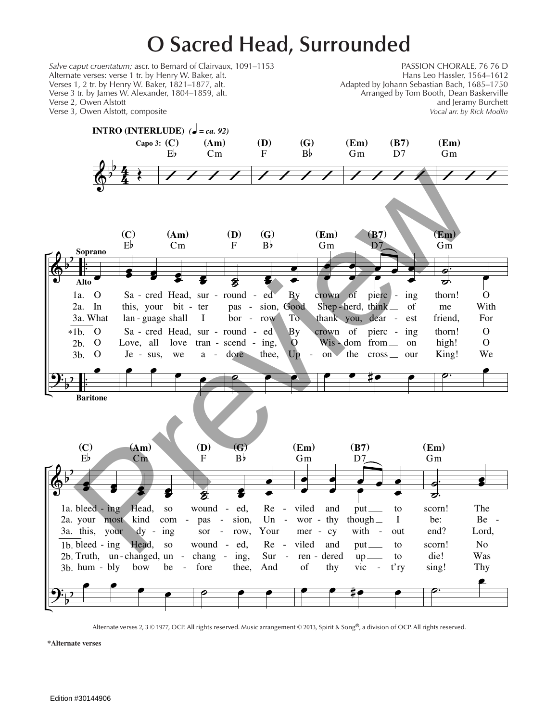## **O Sacred Head, Surrounded**



Alternate verses 2, 3 © 1977, OCP. All rights reserved. Music arrangement © 2013, Spirit & Song®, a division of OCP. All rights reserved.

**\*Alternate verses**